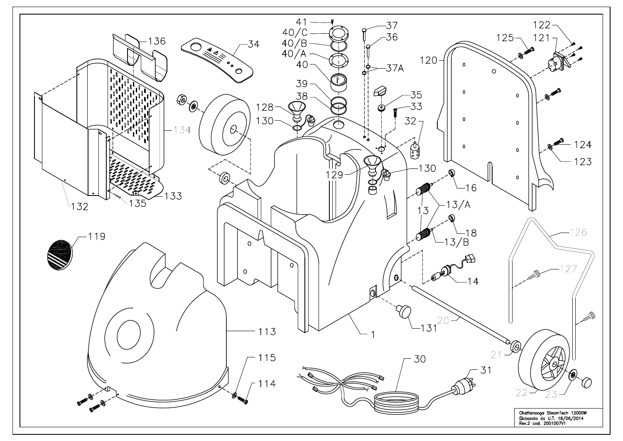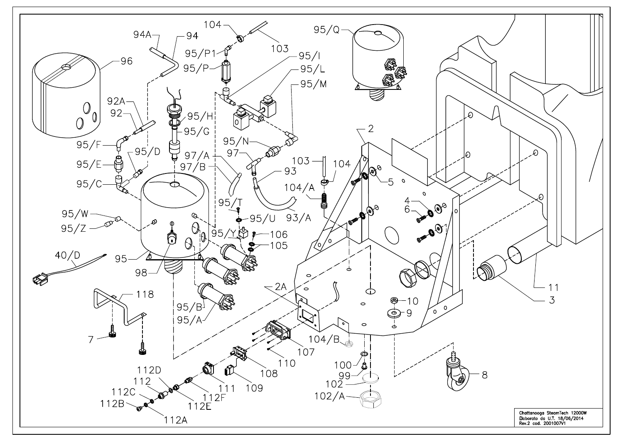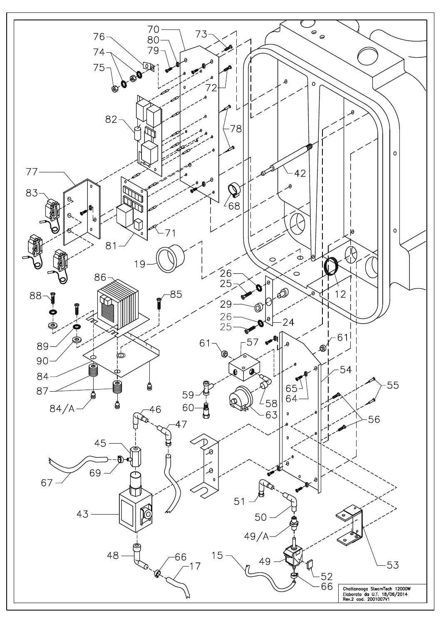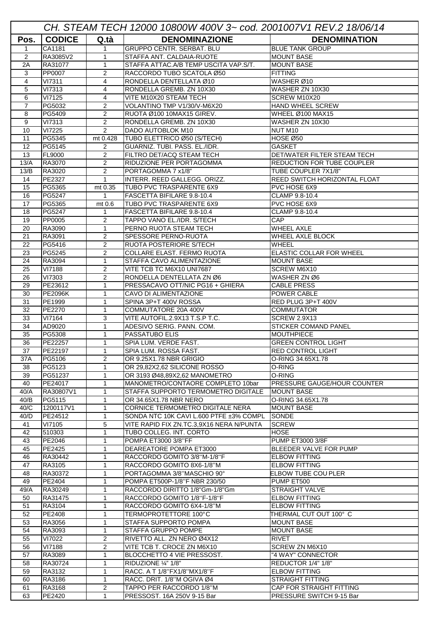| CH. STEAM TECH 12000 10800W 400V 3~ cod. 2001007V1 REV.2 18/06/14 |                      |                              |                                                                    |                                                |  |  |
|-------------------------------------------------------------------|----------------------|------------------------------|--------------------------------------------------------------------|------------------------------------------------|--|--|
| Pos.                                                              | <b>CODICE</b>        | Q.tà                         | <b>DENOMINAZIONE</b>                                               | <b>DENOMINATION</b>                            |  |  |
| $\mathbf{1}$                                                      | CA1181               | $\mathbf 1$                  | <b>GRUPPO CENTR. SERBAT. BLU</b>                                   | <b>BLUE TANK GROUP</b>                         |  |  |
| 2                                                                 | RA3085V2             | 1                            | STAFFA ANT. CALDAIA-RUOTE                                          | <b>MOUNT BASE</b>                              |  |  |
| 2A                                                                | RA31077              | 1                            | STAFFA ATTAC.A/B TEMP USCITA VAP.S/T.                              | <b>MOUNT BASE</b>                              |  |  |
| 3                                                                 | PP0007               | 2                            | RACCORDO TUBO SCATOLA Ø50                                          | <b>FITTING</b>                                 |  |  |
| 4                                                                 | VI7311               | 4                            | RONDELLA DENTELLATA Ø10                                            | WASHER Ø10                                     |  |  |
| 5                                                                 | VI7313               | 4                            | RONDELLA GREMB. ZN 10X30                                           | WASHER ZN 10X30                                |  |  |
| 6<br>$\overline{7}$                                               | VI7125               | 4<br>2                       | VITE M10X20 STEAM TECH                                             | SCREW M10X20<br><b>HAND WHEEL SCREW</b>        |  |  |
| 8                                                                 | PG5032<br>PG5409     | 2                            | VOLANTINO TMP V1/30/V-M6X20<br>RUOTA Ø100 10MAX15 GIREV.           | WHEEL Ø100 MAX15                               |  |  |
| 9                                                                 | <b>VI7313</b>        | $\overline{2}$               | RONDELLA GREMB. ZN 10X30                                           | WASHER ZN 10X30                                |  |  |
| 10                                                                | $\overline{VI7225}$  | 2                            | DADO AUTOBLOK M10                                                  | NUT M10                                        |  |  |
| 11                                                                | PG5345               | mt 0.428                     | TUBO ELETTRICO Ø50 (S/TECH)                                        | HOSE Ø50                                       |  |  |
| 12                                                                | PG5145               | 2                            | GUARNIZ. TUBI. PASS. EL./IDR.                                      | <b>GASKET</b>                                  |  |  |
| 13                                                                | <b>FL9000</b>        | $\overline{2}$               | FILTRO DET/ACQ STEAM TECH                                          | DET/WATER FILTER STEAM TECH                    |  |  |
| 13/A                                                              | RA3070               | 2                            | RIDUZIONE PER PORTAGOMMA                                           | <b>REDUCTION FOR TUBE COUPLER</b>              |  |  |
| 13/B                                                              | RA3020               | 2                            | PORTAGOMMA 7 x1/8"                                                 | TUBE COUPLER 7X1/8"                            |  |  |
| 14                                                                | PE2327               | $\mathbf{1}$                 | INTERR. REED GALLEGG. ORIZZ.                                       | REED SWITCH HORIZONTAL FLOAT                   |  |  |
| 15                                                                | PG5365               | mt 0.35                      | TUBO PVC TRASPARENTE 6X9                                           | PVC HOSE 6X9                                   |  |  |
| 16                                                                | PG5247               | 1                            | FASCETTA BIFILARE 9.8-10.4                                         | CLAMP 9.8-10.4                                 |  |  |
| 17                                                                | PG5365<br>PG5247     | mt 0.6                       | TUBO PVC TRASPARENTE 6X9                                           | PVC HOSE 6X9                                   |  |  |
| 18<br>19                                                          | PP0005               | $\mathbf 1$<br>2             | FASCETTA BIFILARE 9.8-10.4<br><b>TAPPO VANO EL./IDR. S/TECH</b>    | CLAMP 9.8-10.4<br><b>CAP</b>                   |  |  |
| 20                                                                | RA3090               | $\mathbf 1$                  | PERNO RUOTA STEAM TECH                                             | <b>WHEEL AXLE</b>                              |  |  |
| 21                                                                | RA3091               | $\overline{2}$               | <b>SPESSORE PERNO-RUOTA</b>                                        | <b>WHEEL AXLE BLOCK</b>                        |  |  |
| 22                                                                | PG5416               | 2                            | RUOTA POSTERIORE S/TECH                                            | <b>WHEEL</b>                                   |  |  |
| 23                                                                | PG5245               | 2                            | <b>COLLARE ELAST. FERMO RUOTA</b>                                  | <b>ELASTIC COLLAR FOR WHEEL</b>                |  |  |
| 24                                                                | RA3094               | 1                            | STAFFA CAVO ALIMENTAZIONE                                          | <b>MOUNT BASE</b>                              |  |  |
| 25                                                                | VI7188               | $\overline{2}$               | VITE TCB TC M6X10 UNI7687                                          | <b>SCREW M6X10</b>                             |  |  |
| 26                                                                | VI7303               | 2                            | RONDELLA DENTELLATA ZN Ø6                                          | WASHER ZN Ø6                                   |  |  |
| 29                                                                | PE23612              | 1                            | PRESSACAVO OTT/NIC PG16 + GHIERA                                   | <b>CABLE PRESS</b>                             |  |  |
| 30                                                                | <b>PE2096K</b>       | 1                            | CAVO DI ALIMENTAZIONE                                              | POWER CABLE                                    |  |  |
| 31                                                                | PE1999               | 1                            | SPINA 3P+T 400V ROSSA                                              | RED PLUG 3P+T 400V                             |  |  |
| 32<br>33                                                          | PE2270<br>VI7164     | 1<br>3                       | COMMUTATORE 20A 400V<br>VITE AUTOFIL.2.9X13 T.S.P T.C.             | <b>COMMUTATOR</b><br><b>SCREW 2.9X13</b>       |  |  |
| 34                                                                | AD9020               | 1                            | ADESIVO SERIG. PANN. COM.                                          | <b>STICKER COMAND PANEL</b>                    |  |  |
| 35                                                                | PG5308               | 1                            | PASSATUBO ELIS                                                     | <b>MOUTHPIECE</b>                              |  |  |
| 36                                                                | PE22257              | 1                            | SPIA LUM. VERDE FAST.                                              | <b>GREEN CONTROL LIGHT</b>                     |  |  |
| 37                                                                | PE22197              | $\mathbf{1}$                 | SPIA LUM. ROSSA FAST.                                              | <b>RED CONTROL LIGHT</b>                       |  |  |
| 37A                                                               | PG5106               | 2                            | OR 9.25X1.78 NBR GRIGIO                                            | O-RING 34.65X1.78                              |  |  |
| 38                                                                | PG5123               | $\mathbf 1$                  | OR 29.82X2.62 SILICONE ROSSO                                       | O-RING                                         |  |  |
| 39                                                                | PG51237              | 1                            | OR 3193 Ø48.89X2.62 MANOMETRO                                      | O-RING                                         |  |  |
| 40                                                                | PE24017              | 1                            | MANOMETRO/CONTAORE COMPLETO 10bar                                  | <b>PRESSURE GAUGE/HOUR COUNTER</b>             |  |  |
| 40/A                                                              | RA30807V1            | 1                            | <b>STAFFA SUPPORTO TERMOMETRO DIGITALE</b>                         | <b>MOUNT BASE</b>                              |  |  |
| 40/B                                                              | PG5115               | 1                            | OR 34.65X1.78 NBR NERO<br><b>ICORNICE TERMOMETRO DIGITALE NERA</b> | O-RING 34.65X1.78                              |  |  |
| 40/C<br>40/D                                                      | 1200117V1<br>PE24512 | $\mathbf{1}$<br>$\mathbf{1}$ | SONDA NTC 10K CAVI L.600 PTFE ±3% COMPL                            | <b>MOUNT BASE</b><br><b>SONDE</b>              |  |  |
| 41                                                                | VI7105               | 5                            | VITE RAPID FIX ZN.TC.3,9X16 NERA N/PUNTA                           | <b>SCREW</b>                                   |  |  |
| 42                                                                | 510303               | 1                            | TUBO COLLEG. INT. CORTO                                            | <b>HOSE</b>                                    |  |  |
| 43                                                                | PE2046               | 1                            | POMPA ET3000 3/8"FF                                                | <b>PUMP ET3000 3/8F</b>                        |  |  |
| 45                                                                | PE2425               | 1                            | DEAREATORE POMPA ET3000                                            | BLEEDER VALVE FOR PUMP                         |  |  |
| 46                                                                | RA30442              | $\mathbf 1$                  | RACCORDO GOMITO 3/8"M-1/8"F                                        | <b>ELBOW FITTING</b>                           |  |  |
| 47                                                                | RA3105               | 1                            | RACCORDO GOMITO 8X6-1/8"M                                          | <b>ELBOW FITTING</b>                           |  |  |
| 48                                                                | RA30372              | 1                            | PORTAGOMMA 3/8"MASCHIO 90°                                         | <b>ELBOW TUBE COU PLER</b>                     |  |  |
| 49                                                                | PE2404               | 1                            | POMPA ET500P-1/8"F NBR 230/50                                      | PUMP ET500                                     |  |  |
| 49/A                                                              | RA30249              | 1                            | RACCORDO DIRITTO 1/8"Gm-1/8"Gm                                     | <b>STRAIGHT VALVE</b>                          |  |  |
| 50                                                                | RA31475              | 1                            | RACCORDO GOMITO 1/8"F-1/8"F                                        | <b>ELBOW FITTING</b>                           |  |  |
| 51<br>52                                                          | RA3104<br>PE2408     | 1<br>1                       | RACCORDO GOMITO 6X4-1/8"M<br>TERMOPROTETTORE 100°C                 | <b>ELBOW FITTING</b><br>THERMAL CUT OUT 100° C |  |  |
| 53                                                                | RA3056               | $\mathbf 1$                  | <b>STAFFA SUPPORTO POMPA</b>                                       | <b>MOUNT BASE</b>                              |  |  |
| 54                                                                | RA3093               | 1                            | <b>STAFFA GRUPPO POMPE</b>                                         | <b>MOUNT BASE</b>                              |  |  |
| 55                                                                | VI7022               | 2                            | RIVETTO ALL. ZN NERO Ø4X12                                         | <b>RIVET</b>                                   |  |  |
| 56                                                                | <b>VI7188</b>        | $\overline{2}$               | VITE TCB T. CROCE ZN M6X10                                         | SCREW ZN M6X10                                 |  |  |
| 57                                                                | RA3089               | 1                            | BLOCCHETTO 4 VIE PRESSOST.                                         | "4 WAY" CONNECTOR                              |  |  |
| 58                                                                | RA30724              | $\mathbf 1$                  | RIDUZIONE 1/4" 1/8"                                                | REDUCTOR 1/4" 1/8"                             |  |  |
| 59                                                                | RA3132               | $\mathbf 1$                  | RACC. A T 1/8"FX1/8"MX1/8"F                                        | <b>ELBOW FITTING</b>                           |  |  |
| 60                                                                | RA3186               | $\mathbf 1$                  | RACC. DRIT. 1/8"M OGIVA Ø4                                         | <b>STRAIGHT FITTING</b>                        |  |  |
| 61                                                                | RA3168               | 2                            | TAPPO PER RACCORDO 1/8"M                                           | CAP FOR STRAIGHT FITTING                       |  |  |
| 63                                                                | PE2420               | $\mathbf{1}$                 | PRESSOST. 16A 250V 9-15 Bar                                        | PRESSURE SWITCH 9-15 Bar                       |  |  |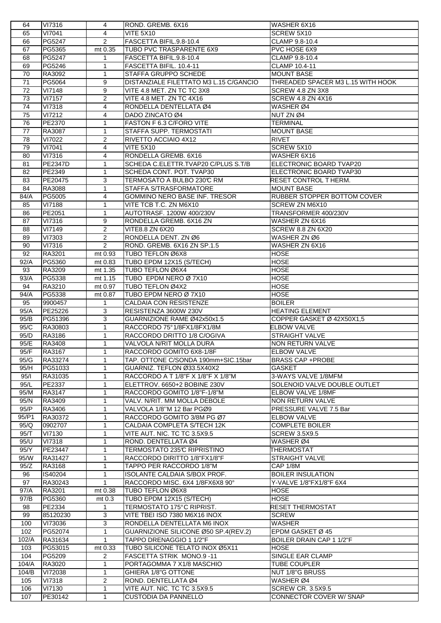| 64    | VI7316         | 4              | ROND. GREMB. 6X16                      | WASHER 6X16                       |
|-------|----------------|----------------|----------------------------------------|-----------------------------------|
| 65    | VI7041         | 4              | VITE 5X10                              | SCREW 5X10                        |
| 66    | PG5247         | 2              | FASCETTA BIFIL.9.8-10.4                | CLAMP 9.8-10.4                    |
| 67    | PG5365         | mt 0.35        | TUBO PVC TRASPARENTE 6X9               | PVC HOSE 6X9                      |
| 68    | PG5247         | $\mathbf 1$    | FASCETTA BIFIL.9.8-10.4                | CLAMP 9.8-10.4                    |
| 69    | PG5246         | 1              | FASCETTA BIFIL. 10.4-11                | <b>CLAMP 10.4-11</b>              |
| 70    | RA3092         | $\mathbf{1}$   | STAFFA GRUPPO SCHEDE                   | <b>MOUNT BASE</b>                 |
|       |                |                |                                        |                                   |
| 71    | PG5064         | 9              | DISTANZIALE FILETTATO M3 L.15 C/GANCIO | THREADED SPACER M3 L.15 WITH HOOK |
| 72    | <b>VI7148</b>  | 9              | VITE 4.8 MET. ZN TC TC 3X8             | SCREW 4.8 ZN 3X8                  |
| 73    | <b>VI7157</b>  | 2              | VITE 4.8 MET. ZN TC 4X16               | <b>SCREW 4.8 ZN 4X16</b>          |
| 74    | <b>VI7318</b>  | 4              | RONDELLA DENTELLATA Ø4                 | WASHER Ø4                         |
| 75    | VI7212         | 4              | DADO ZINCATO Ø4                        | NUT ZN Ø4                         |
| 76    | PE2370         | $\mathbf{1}$   | FASTON F 6.3 C/FORO VITE               | <b>TERMINAL</b>                   |
| 77    | RA3087         | 1              | STAFFA SUPP. TERMOSTATI                | <b>MOUNT BASE</b>                 |
| 78    | VI7022         | 2              | RIVETTO ACCIAIO 4X12                   | <b>RIVET</b>                      |
| 79    | <b>VI7041</b>  | 4              | VITE 5X10                              | SCREW 5X10                        |
| 80    | <b>VI7316</b>  | $\overline{4}$ | RONDELLA GREMB. 6X16                   | WASHER 6X16                       |
| 81    | <b>PE2347D</b> | $\mathbf{1}$   | SCHEDA C.ELETTR.TVAP20 C/PLUS S.T/B    | ELECTRONIC BOARD TVAP20           |
| 82    | PE2349         | $\mathbf{1}$   | SCHEDA CONT. POT. TVAP30               | ELECTRONIC BOARD TVAP30           |
| 83    | PE20475        | 3              | TERMOSATO A BULBO 230℃ RM              | RESET CONTROL THERM.              |
| 84    | RA3088         | $\mathbf{1}$   | STAFFA S/TRASFORMATORE                 | <b>MOUNT BASE</b>                 |
|       |                |                | <b>GOMMINO NERO BASE INF. TRESOR</b>   | RUBBER STOPPER BOTTOM COVER       |
| 84/A  | PG5005         | 4              |                                        |                                   |
| 85    | VI7188         | $\mathbf 1$    | VITE TCB T.C. ZN M6X10                 | SCREW ZN M6X10                    |
| 86    | PE2051         | $\mathbf{1}$   | AUTOTRASF. 1200W 400/230V              | TRANSFORMER 400/230V              |
| 87    | <b>VI7316</b>  | 9              | RONDELLA GREMB. 6X16 ZN                | WASHER ZN 6X16                    |
| 88    | VI7149         | 2              | VITE8.8 ZN 6X20                        | <b>SCREW 8.8 ZN 6X20</b>          |
| 89    | VI7303         | $\overline{2}$ | RONDELLA DENT. ZN Ø6                   | WASHER ZN Ø6                      |
| 90    | <b>VI7316</b>  | 2              | ROND. GREMB. 6X16 ZN SP.1.5            | WASHER ZN 6X16                    |
| 92    | RA3201         | mt 0.93        | TUBO TEFLON Ø6X8                       | <b>HOSE</b>                       |
| 92/A  | PG5360         | mt 0.83        | TUBO EPDM 12X15 (S/TECH)               | <b>HOSE</b>                       |
| 93    | RA3209         | mt 1.35        | TUBO TEFLON Ø6X4                       | <b>HOSE</b>                       |
| 93/A  | PG5338         | mt 1.15        | TUBO EPDM NERO Ø 7X10                  | <b>HOSE</b>                       |
| 94    | RA3210         | mt 0.97        | TUBO TEFLON Ø4X2                       | <b>HOSE</b>                       |
| 94/A  | PG5338         | mt 0.87        | TUBO EPDM NERO Ø 7X10                  | <b>HOSE</b>                       |
|       |                |                |                                        |                                   |
| 95    | 9900457        | $\mathbf{1}$   | CALDAIA CON RESISTENZE                 | <b>BOILER</b>                     |
| 95/A  | PE25226        | 3              | RESISTENZA 3600W 230V                  | <b>HEATING ELEMENT</b>            |
| 95/B  | PG51396        | 3              | GUARNIZIONE RAME Ø42x50x1.5            | COPPER GASKET Ø 42X50X1,5         |
| 95/C  | RA30803        | $\mathbf{1}$   | RACCORDO 75°1/8FX1/8FX1/8M             | <b>ELBOW VALVE</b>                |
| 95/D  | RA3186         | $\mathbf{1}$   | RACCORDO DRITTO 1/8 C/OGIVA            | STRAIGHT VALVE                    |
| 95/E  | RA3408         | $\mathbf{1}$   | VALVOLA N/RIT MOLLA DURA               | <b>NON RETURN VALVE</b>           |
| 95/F  | RA3167         | $\mathbf{1}$   | RACCORDO GOMITO 6X8-1/8F               | <b>ELBOW VALVE</b>                |
| 95/G  | <b>RA33274</b> | $\mathbf 1$    | TAP. OTTONE C/SONDA 190mm+SIC.15bar    | <b>BRASS CAP +PROBE</b>           |
| 95/H  | PG51033        | $\mathbf{1}$   | GUARNIZ. TEFLON Ø33.5X40X2             | <b>GASKET</b>                     |
| 95/1  | RA31035        | $\mathbf{1}$   | RACCORDO A T 1/8"F X 1/8"F X 1/8"M     | 3-WAYS VALVE 1/8MFM               |
| 95/L  | PE2337         | $\mathbf 1$    | ELETTROV. 6650+2 BOBINE 230V           | SOLENOID VALVE DOUBLE OUTLET      |
| 95/M  | RA3147         | $\mathbf{1}$   | RACCORDO GOMITO 1/8"F-1/8"M            | ELBOW VALVE 1/8MF                 |
| 95/N  | RA3409         | $\mathbf{1}$   | VALV. N/RIT. MM MOLLA DEBOLE           | <b>NON RETURN VALVE</b>           |
| 95/P  | RA3406         | $\mathbf{1}$   | VALVOLA 1/8"M 12 Bar PGØ9              | PRESSURE VALVE 7.5 Bar            |
| 95/P1 | RA30372        | $\mathbf 1$    | RACCORDO GOMITO 3/8M PG Ø7             | <b>ELBOW VALVE</b>                |
|       | 0902707        |                |                                        | <b>COMPLETE BOILER</b>            |
| 95/Q  |                | 1              | CALDAIA COMPLETA S/TECH 12K            |                                   |
| 95/T  | <b>VI7130</b>  | 1              | VITE AUT. NIC. TC TC 3.5X9.5           | <b>SCREW 3.5X9.5</b>              |
| 95/U  | <b>VI7318</b>  | 1              | ROND. DENTELLATA Ø4                    | WASHER Ø4                         |
| 95/Y  | PE23447        | 1              | TERMOSTATO 235°C RIPRISTINO            | THERMOSTAT                        |
| 95/W  | RA31427        | $\mathbf{1}$   | RACCORDO DIRITTO 1/8"FX1/8"F           | <b>STRAIGHT VALVE</b>             |
| 95/Z  | RA3168         | $\mathbf 1$    | TAPPO PER RACCORDO 1/8"M               | CAP 1/8M                          |
| 96    | IS40204        | $\mathbf 1$    | ISOLANTE CALDAIA S/BOX PROF.           | <b>BOILER INSULATION</b>          |
| 97    | RA30243        | $\mathbf 1$    | RACCORDO MISC. 6X4 1/8FX6X8 90°        | Y-VALVE 1/8"FX1/8"F 6X4           |
| 97/A  | RA3201         | mt 0.38        | TUBO TEFLON Ø6X8                       | <b>HOSE</b>                       |
| 97/B  | PG5360         | mt 0.3         | TUBO EPDM 12X15 (S/TECH)               | <b>HOSE</b>                       |
| 98    | PE2334         | $\mathbf{1}$   | TERMOSTATO 175°C RIPRIST.              | <b>RESET THERMOSTAT</b>           |
| 99    | 85120230       | 3              | VITE TBEI ISO 7380 M6X16 INOX          | <b>SCREW</b>                      |
| 100   | VI73036        | 3              | RONDELLA DENTELLATA M6 INOX            | <b>WASHER</b>                     |
| 102   | PG52074        | 1              | GUARNIZIONE SILICONE Ø50 SP.4(REV.2)   | EPDM GASKET Ø 45                  |
| 102/A | RA31634        | $\mathbf{1}$   | TAPPO DRENAGGIO 1 1/2"F                | <b>BOILER DRAIN CAP 1 1/2"F</b>   |
| 103   |                | mt 0.33        |                                        | <b>HOSE</b>                       |
|       | PG53015        |                | TUBO SILICONE TELATO INOX Ø5X11        |                                   |
| 104   | PG5209         | $\overline{2}$ | FASCETTA STRIK MONO.9-11               | SINGLE EAR CLAMP                  |
| 104/A | RA3020         | $\mathbf{1}$   | PORTAGOMMA 7 X1/8 MASCHIO              | <b>TUBE COUPLER</b>               |
| 104/B | VI72038        | $\mathbf 1$    | GHIERA 1/8"G OTTONE                    | NUT 1/8"G BRUSS                   |
| 105   | <b>VI7318</b>  | 2              | ROND. DENTELLATA Ø4                    | WASHER Ø4                         |
| 106   | <b>VI7130</b>  | 1              | VITE AUT. NIC. TC TC 3.5X9.5           | <b>SCREW CR. 3.5X9.5</b>          |
| 107   | PE30142        | $\mathbf{1}$   | <b>CUSTODIA DA PANNELLO</b>            | CONNECTOR COVER W/ SNAP           |